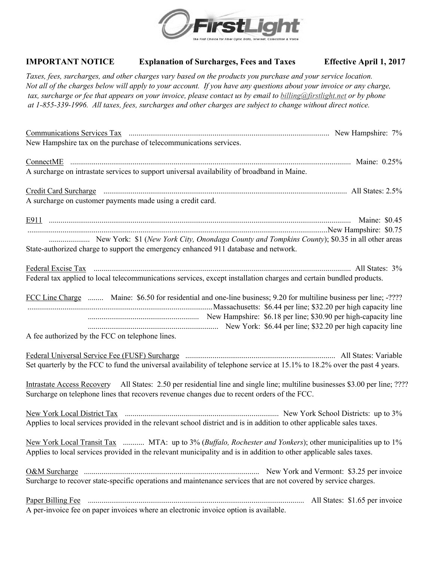

## **IMPORTANT NOTICE Explanation of Surcharges, Fees and Taxes Effective April 1, 2017**

*Taxes, fees, surcharges, and other charges vary based on the products you purchase and your service location. Not all of the charges below will apply to your account. If you have any questions about your invoice or any charge, tax, surcharge or fee that appears on your invoice, please contact us by email to billing@firstlight.net or by phone at 1-855-339-1996. All taxes, fees, surcharges and other charges are subject to change without direct notice.*

| New Hampshire tax on the purchase of telecommunications services.                                                                                                                                                                |  |
|----------------------------------------------------------------------------------------------------------------------------------------------------------------------------------------------------------------------------------|--|
| A surcharge on intrastate services to support universal availability of broadband in Maine.                                                                                                                                      |  |
| A surcharge on customer payments made using a credit card.                                                                                                                                                                       |  |
| State-authorized charge to support the emergency enhanced 911 database and network.                                                                                                                                              |  |
| Federal tax applied to local telecommunications services, except installation charges and certain bundled products.                                                                                                              |  |
| FCC Line Charge  Maine: \$6.50 for residential and one-line business; 9.20 for multiline business per line; -????<br>A fee authorized by the FCC on telephone lines.                                                             |  |
| Set quarterly by the FCC to fund the universal availability of telephone service at 15.1% to 18.2% over the past 4 years.                                                                                                        |  |
| Intrastate Access Recovery All States: 2.50 per residential line and single line; multiline businesses \$3.00 per line; ????<br>Surcharge on telephone lines that recovers revenue changes due to recent orders of the FCC.      |  |
| Applies to local services provided in the relevant school district and is in addition to other applicable sales taxes.                                                                                                           |  |
| New York Local Transit Tax  MTA: up to 3% (Buffalo, Rochester and Yonkers); other municipalities up to 1%<br>Applies to local services provided in the relevant municipality and is in addition to other applicable sales taxes. |  |
| Surcharge to recover state-specific operations and maintenance services that are not covered by service charges.                                                                                                                 |  |
| A per-invoice fee on paper invoices where an electronic invoice option is available.                                                                                                                                             |  |